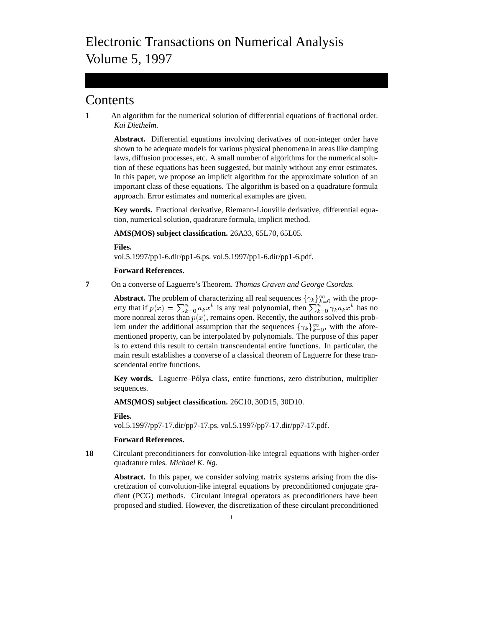# **Contents**

**1** An algorithm for the numerical solution of differential equations of fractional order. *Kai Diethelm.*

**Abstract.** Differential equations involving derivatives of non-integer order have shown to be adequate models for various physical phenomena in areas like damping laws, diffusion processes, etc. A small number of algorithms for the numerical solution of these equations has been suggested, but mainly without any error estimates. In this paper, we propose an implicit algorithm for the approximate solution of an important class of these equations. The algorithm is based on a quadrature formula approach. Error estimates and numerical examples are given.

**Key words.** Fractional derivative, Riemann-Liouville derivative, differential equation, numerical solution, quadrature formula, implicit method.

**AMS(MOS) subject classification.** 26A33, 65L70, 65L05.

**Files.**

vol.5.1997/pp1-6.dir/pp1-6.ps. vol.5.1997/pp1-6.dir/pp1-6.pdf.

# **Forward References.**

**7** On a converse of Laguerre's Theorem. *Thomas Craven and George Csordas.*

**Abstract.** The problem of characterizing all real sequences  $\{\gamma_k\}_{k=0}^{\infty}$  with the property that if  $p(x) = \sum_{k=0}^{n} a_k x^k$  is any real polynomial, then  $\sum_{k=0}^{n} \gamma_k a_k x^k$  has no more nonreal zeros than  $p(x)$ , remains open. Recently, the authors solved this problem under the additional assumption that the sequences  $\{\gamma_k\}_{k=0}^{\infty}$ , with the aforementioned property, can be interpolated by polynomials. The purpose of this paper is to extend this result to certain transcendental entire functions. In particular, the main result establishes a converse of a classical theorem of Laguerre for these transcendental entire functions.

Key words. Laguerre–Pólya class, entire functions, zero distribution, multiplier sequences.

**AMS(MOS) subject classification.** 26C10, 30D15, 30D10.

**Files.**

vol.5.1997/pp7-17.dir/pp7-17.ps. vol.5.1997/pp7-17.dir/pp7-17.pdf.

# **Forward References.**

**18** Circulant preconditioners for convolution-like integral equations with higher-order quadrature rules. *Michael K. Ng.*

**Abstract.** In this paper, we consider solving matrix systems arising from the discretization of convolution-like integral equations by preconditioned conjugate gradient (PCG) methods. Circulant integral operators as preconditioners have been proposed and studied. However, the discretization of these circulant preconditioned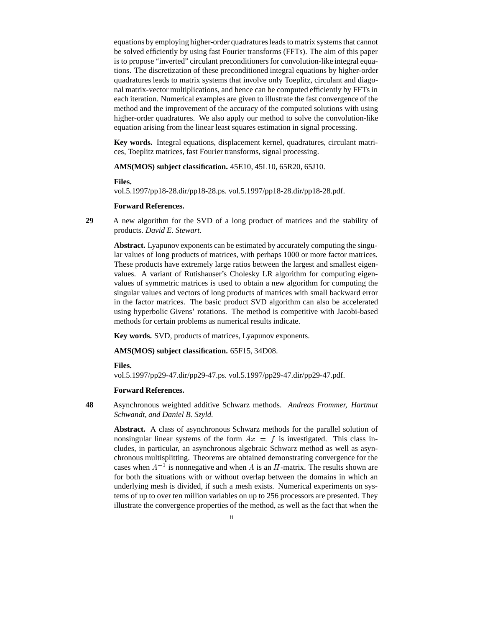equations by employing higher-order quadratures leads to matrix systems that cannot be solved efficiently by using fast Fourier transforms (FFTs). The aim of this paper is to propose "inverted" circulant preconditioners for convolution-like integral equations. The discretization of these preconditioned integral equations by higher-order quadratures leads to matrix systems that involve only Toeplitz, circulant and diagonal matrix-vector multiplications, and hence can be computed efficiently by FFTs in each iteration. Numerical examples are given to illustrate the fast convergence of the method and the improvement of the accuracy of the computed solutions with using higher-order quadratures. We also apply our method to solve the convolution-like equation arising from the linear least squares estimation in signal processing.

**Key words.** Integral equations, displacement kernel, quadratures, circulant matrices, Toeplitz matrices, fast Fourier transforms, signal processing.

**AMS(MOS) subject classification.** 45E10, 45L10, 65R20, 65J10.

#### **Files.**

vol.5.1997/pp18-28.dir/pp18-28.ps. vol.5.1997/pp18-28.dir/pp18-28.pdf.

# **Forward References.**

**29** A new algorithm for the SVD of a long product of matrices and the stability of products. *David E. Stewart.*

**Abstract.** Lyapunov exponents can be estimated by accurately computing the singular values of long products of matrices, with perhaps 1000 or more factor matrices. These products have extremely large ratios between the largest and smallest eigenvalues. A variant of Rutishauser's Cholesky LR algorithm for computing eigenvalues of symmetric matrices is used to obtain a new algorithm for computing the singular values and vectors of long products of matrices with small backward error in the factor matrices. The basic product SVD algorithm can also be accelerated using hyperbolic Givens' rotations. The method is competitive with Jacobi-based methods for certain problems as numerical results indicate.

**Key words.** SVD, products of matrices, Lyapunov exponents.

**AMS(MOS) subject classification.** 65F15, 34D08.

#### **Files.**

vol.5.1997/pp29-47.dir/pp29-47.ps. vol.5.1997/pp29-47.dir/pp29-47.pdf.

#### **Forward References.**

**48** Asynchronous weighted additive Schwarz methods. *Andreas Frommer, Hartmut Schwandt, and Daniel B. Szyld.*

**Abstract.** A class of asynchronous Schwarz methods for the parallel solution of nonsingular linear systems of the form  $Ax = f$  is investigated. This class includes, in particular, an asynchronous algebraic Schwarz method as well as asynchronous multisplitting. Theorems are obtained demonstrating convergence for the cases when  $A^{-1}$  is nonnegative and when A is an H-matrix. The results shown are for both the situations with or without overlap between the domains in which an underlying mesh is divided, if such a mesh exists. Numerical experiments on systems of up to over ten million variables on up to 256 processors are presented. They illustrate the convergence properties of the method, as well as the fact that when the